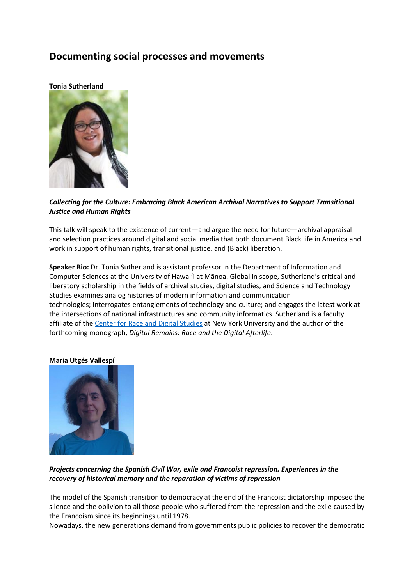# **Documenting social processes and movements**





## *Collecting for the Culture: Embracing Black American Archival Narratives to Support Transitional Justice and Human Rights*

This talk will speak to the existence of current—and argue the need for future—archival appraisal and selection practices around digital and social media that both document Black life in America and work in support of human rights, transitional justice, and (Black) liberation.

**Speaker Bio:** Dr. Tonia Sutherland is assistant professor in the Department of Information and Computer Sciences at the University of Hawaiʻi at Mānoa. Global in scope, Sutherland's critical and liberatory scholarship in the fields of archival studies, digital studies, and Science and Technology Studies examines analog histories of modern information and communication technologies; interrogates entanglements of technology and culture; and engages the latest work at the intersections of national infrastructures and community informatics. Sutherland is a faculty affiliate of the [Center for Race and Digital Studies](https://criticalracedigitalstudies.com/) at New York University and the author of the forthcoming monograph, *Digital Remains: Race and the Digital Afterlife*.



### **Maria Utgés Vallespí**

## *Projects concerning the Spanish Civil War, exile and Francoist repression. Experiences in the recovery of historical memory and the reparation of victims of repression*

The model of the Spanish transition to democracy at the end of the Francoist dictatorship imposed the silence and the oblivion to all those people who suffered from the repression and the exile caused by the Francoism since its beginnings until 1978.

Nowadays, the new generations demand from governments public policies to recover the democratic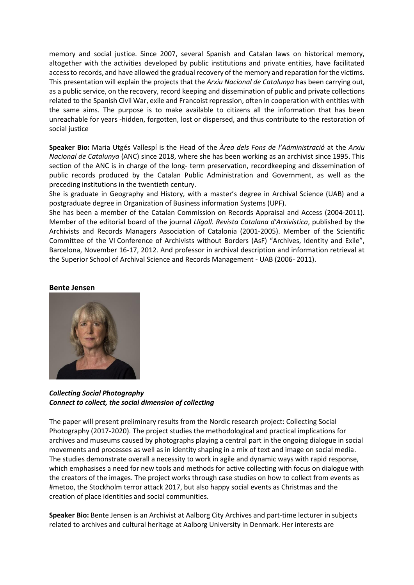memory and social justice. Since 2007, several Spanish and Catalan laws on historical memory, altogether with the activities developed by public institutions and private entities, have facilitated access to records, and have allowed the gradual recovery of the memory and reparation for the victims. This presentation will explain the projects that the *Arxiu Nacional de Catalunya* has been carrying out, as a public service, on the recovery, record keeping and dissemination of public and private collections related to the Spanish Civil War, exile and Francoist repression, often in cooperation with entities with the same aims. The purpose is to make available to citizens all the information that has been unreachable for years -hidden, forgotten, lost or dispersed, and thus contribute to the restoration of social justice

**Speaker Bio:** Maria Utgés Vallespí is the Head of the *Àrea dels Fons de l'Administració* at the *Arxiu Nacional de Catalunya* (ANC) since 2018, where she has been working as an archivist since 1995. This section of the ANC is in charge of the long- term preservation, recordkeeping and dissemination of public records produced by the Catalan Public Administration and Government, as well as the preceding institutions in the twentieth century.

She is graduate in Geography and History, with a master's degree in Archival Science (UAB) and a postgraduate degree in Organization of Business information Systems (UPF).

She has been a member of the Catalan Commission on Records Appraisal and Access (2004-2011). Member of the editorial board of the journal *Lligall. Revista Catalana d'Arxivística*, published by the Archivists and Records Managers Association of Catalonia (2001-2005). Member of the Scientific Committee of the VI Conference of Archivists without Borders (AsF) "Archives, Identity and Exile", Barcelona, November 16-17, 2012. And professor in archival description and information retrieval at the Superior School of Archival Science and Records Management - UAB (2006- 2011).

#### **Bente Jensen**



#### *Collecting Social Photography Connect to collect, the social dimension of collecting*

The paper will present preliminary results from the Nordic research project: Collecting Social Photography (2017-2020). The project studies the methodological and practical implications for archives and museums caused by photographs playing a central part in the ongoing dialogue in social movements and processes as well as in identity shaping in a mix of text and image on social media. The studies demonstrate overall a necessity to work in agile and dynamic ways with rapid response, which emphasises a need for new tools and methods for active collecting with focus on dialogue with the creators of the images. The project works through case studies on how to collect from events as #metoo, the Stockholm terror attack 2017, but also happy social events as Christmas and the creation of place identities and social communities.

**Speaker Bio:** Bente Jensen is an Archivist at Aalborg City Archives and part-time lecturer in subjects related to archives and cultural heritage at Aalborg University in Denmark. Her interests are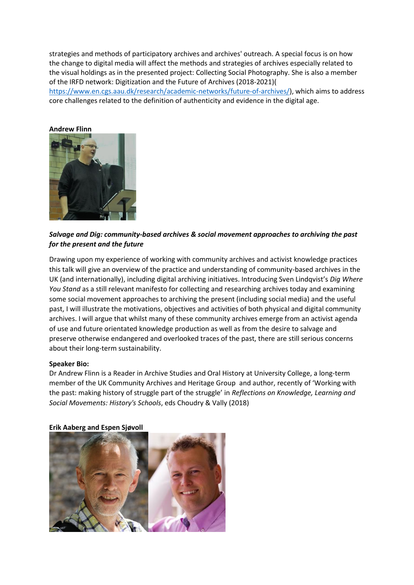strategies and methods of participatory archives and archives' outreach. A special focus is on how the change to digital media will affect the methods and strategies of archives especially related to the visual holdings as in the presented project: Collecting Social Photography. She is also a member of the IRFD network: Digitization and the Future of Archives (2018-2021)( [https://www.en.cgs.aau.dk/research/academic-networks/future-of-archives/\)](https://www.en.cgs.aau.dk/research/academic-networks/future-of-archives/), which aims to address

core challenges related to the definition of authenticity and evidence in the digital age.



# *Salvage and Dig: community-based archives & social movement approaches to archiving the past for the present and the future*

Drawing upon my experience of working with community archives and activist knowledge practices this talk will give an overview of the practice and understanding of community-based archives in the UK (and internationally), including digital archiving initiatives. Introducing Sven Lindqvist's *Dig Where You Stand* as a still relevant manifesto for collecting and researching archives today and examining some social movement approaches to archiving the present (including social media) and the useful past, I will illustrate the motivations, objectives and activities of both physical and digital community archives. I will argue that whilst many of these community archives emerge from an activist agenda of use and future orientated knowledge production as well as from the desire to salvage and preserve otherwise endangered and overlooked traces of the past, there are still serious concerns about their long-term sustainability.

### **Speaker Bio:**

Dr Andrew Flinn is a Reader in Archive Studies and Oral History at University College, a long-term member of the UK Community Archives and Heritage Group and author, recently of 'Working with the past: making history of struggle part of the struggle' in *Reflections on Knowledge, Learning and Social Movements: History's Schools*, eds Choudry & Vally (2018)



### **Erik Aaberg and Espen Sjøvoll**